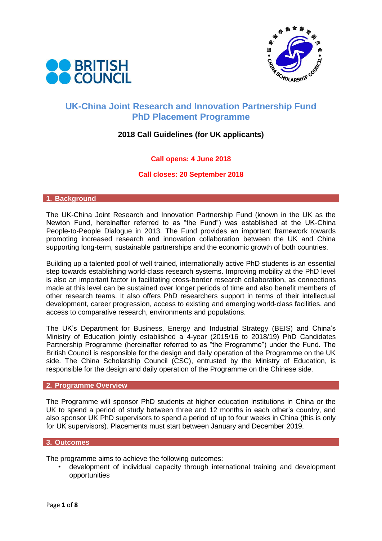



# **UK-China Joint Research and Innovation Partnership Fund PhD Placement Programme**

## **2018 Call Guidelines (for UK applicants)**

## **Call opens: 4 June 2018**

### **Call closes: 20 September 2018**

#### **1. Background**

The UK-China Joint Research and Innovation Partnership Fund (known in the UK as the Newton Fund, hereinafter referred to as "the Fund") was established at the UK-China People-to-People Dialogue in 2013. The Fund provides an important framework towards promoting increased research and innovation collaboration between the UK and China supporting long-term, sustainable partnerships and the economic growth of both countries.

Building up a talented pool of well trained, internationally active PhD students is an essential step towards establishing world-class research systems. Improving mobility at the PhD level is also an important factor in facilitating cross-border research collaboration, as connections made at this level can be sustained over longer periods of time and also benefit members of other research teams. It also offers PhD researchers support in terms of their intellectual development, career progression, access to existing and emerging world-class facilities, and access to comparative research, environments and populations.

The UK's Department for Business, Energy and Industrial Strategy (BEIS) and China's Ministry of Education jointly established a 4-year (2015/16 to 2018/19) PhD Candidates Partnership Programme (hereinafter referred to as "the Programme") under the Fund. The British Council is responsible for the design and daily operation of the Programme on the UK side. The China Scholarship Council (CSC), entrusted by the Ministry of Education, is responsible for the design and daily operation of the Programme on the Chinese side.

#### **2. Programme Overview**

The Programme will sponsor PhD students at higher education institutions in China or the UK to spend a period of study between three and 12 months in each other's country, and also sponsor UK PhD supervisors to spend a period of up to four weeks in China (this is only for UK supervisors). Placements must start between January and December 2019.

#### **3. Outcomes**

The programme aims to achieve the following outcomes:

• development of individual capacity through international training and development opportunities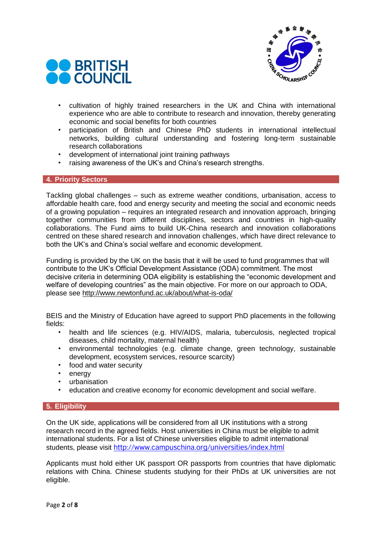



- cultivation of highly trained researchers in the UK and China with international experience who are able to contribute to research and innovation, thereby generating economic and social benefits for both countries
- participation of British and Chinese PhD students in international intellectual networks, building cultural understanding and fostering long-term sustainable research collaborations
- development of international joint training pathways
- raising awareness of the UK's and China's research strengths.

### **4. Priority Sectors**

Tackling global challenges – such as extreme weather conditions, urbanisation, access to affordable health care, food and energy security and meeting the social and economic needs of a growing population – requires an integrated research and innovation approach, bringing together communities from different disciplines, sectors and countries in high-quality collaborations. The Fund aims to build UK-China research and innovation collaborations centred on these shared research and innovation challenges, which have direct relevance to both the UK's and China's social welfare and economic development.

Funding is provided by the UK on the basis that it will be used to fund programmes that will contribute to the UK's Official Development Assistance (ODA) commitment. The most decisive criteria in determining ODA eligibility is establishing the "economic development and welfare of developing countries" as the main objective. For more on our approach to ODA, please see http://www.newtonfund.ac.uk/about/what-is-oda/

BEIS and the Ministry of Education have agreed to support PhD placements in the following fields:

- health and life sciences (e.g. HIV/AIDS, malaria, tuberculosis, neglected tropical diseases, child mortality, maternal health)
- environmental technologies (e.g. climate change, green technology, sustainable development, ecosystem services, resource scarcity)
- food and water security
- energy
- urbanisation
- education and creative economy for economic development and social welfare.

### **5. Eligibility**

On the UK side, applications will be considered from all UK institutions with a strong research record in the agreed fields. Host universities in China must be eligible to admit international students. For a list of Chinese universities eligible to admit international students, please visit <http://www.campuschina.org/universities/index.html>

Applicants must hold either UK passport OR passports from countries that have diplomatic relations with China. Chinese students studying for their PhDs at UK universities are not eligible.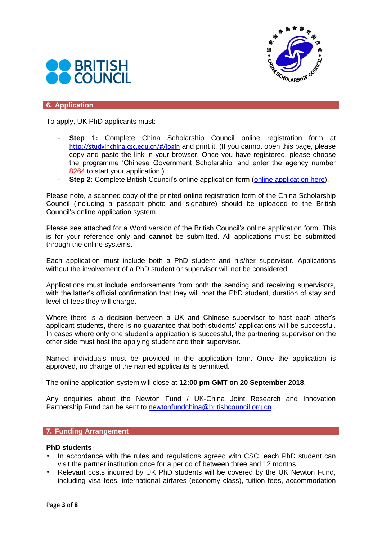



### **6. Application**

To apply, UK PhD applicants must:

- **Step 1:** Complete China Scholarship Council online registration form at <http://studyinchina.csc.edu.cn/#/login> and print it. (If you cannot open this page, please copy and paste the link in your browser. Once you have registered, please choose the programme 'Chinese Government Scholarship' and enter the agency number 8264 to start your application.)
- **Step 2:** Complete British Council's online application form [\(online application here\)](https://britishcouncil-cxobw.formstack.com/forms/newton_phd_uk_china_placements).

Please note, a scanned copy of the printed online registration form of the China Scholarship Council (including a passport photo and signature) should be uploaded to the British Council's online application system.

Please see attached for a Word version of the British Council's online application form. This is for your reference only and **cannot** be submitted. All applications must be submitted through the online systems.

Each application must include both a PhD student and his/her supervisor. Applications without the involvement of a PhD student or supervisor will not be considered.

Applications must include endorsements from both the sending and receiving supervisors, with the latter's official confirmation that they will host the PhD student, duration of stay and level of fees they will charge.

Where there is a decision between a UK and Chinese supervisor to host each other's applicant students, there is no guarantee that both students' applications will be successful. In cases where only one student's application is successful, the partnering supervisor on the other side must host the applying student and their supervisor.

Named individuals must be provided in the application form. Once the application is approved, no change of the named applicants is permitted.

The online application system will close at **12:00 pm GMT on 20 September 2018**.

Any enquiries about the Newton Fund / UK-China Joint Research and Innovation Partnership Fund can be sent to [newtonfundchina@britishcouncil.org.cn](mailto:newtonfundchina@britishcouncil.org.cn).

#### **7. Funding Arrangement**

### **PhD students**

- In accordance with the rules and regulations agreed with CSC, each PhD student can visit the partner institution once for a period of between three and 12 months.
- Relevant costs incurred by UK PhD students will be covered by the UK Newton Fund, including visa fees, international airfares (economy class), tuition fees, accommodation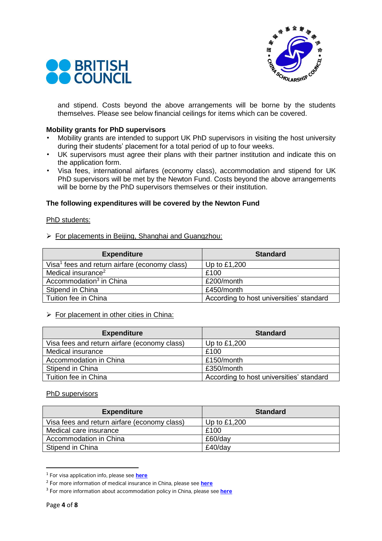



and stipend. Costs beyond the above arrangements will be borne by the students themselves. Please see below financial ceilings for items which can be covered.

#### **Mobility grants for PhD supervisors**

- Mobility grants are intended to support UK PhD supervisors in visiting the host university during their students' placement for a total period of up to four weeks.
- UK supervisors must agree their plans with their partner institution and indicate this on the application form.
- Visa fees, international airfares (economy class), accommodation and stipend for UK PhD supervisors will be met by the Newton Fund. Costs beyond the above arrangements will be borne by the PhD supervisors themselves or their institution.

### **The following expenditures will be covered by the Newton Fund**

#### PhD students:

➢ For placements in Beijing, Shanghai and Guangzhou:

| <b>Expenditure</b>                                        | <b>Standard</b>                          |
|-----------------------------------------------------------|------------------------------------------|
| Visa <sup>1</sup> fees and return airfare (economy class) | Up to £1,200                             |
| Medical insurance <sup>2</sup>                            | £100                                     |
| Accommodation <sup>3</sup> in China                       | £200/month                               |
| Stipend in China                                          | £450/month                               |
| Tuition fee in China                                      | According to host universities' standard |

#### $\triangleright$  For placement in other cities in China:

| <b>Expenditure</b>                           | <b>Standard</b>                          |
|----------------------------------------------|------------------------------------------|
| Visa fees and return airfare (economy class) | Up to £1,200                             |
| Medical insurance                            | £100                                     |
| Accommodation in China                       | £150/month                               |
| Stipend in China                             | £350/month                               |
| Tuition fee in China                         | According to host universities' standard |

#### PhD supervisors

| <b>Expenditure</b>                           | <b>Standard</b> |
|----------------------------------------------|-----------------|
| Visa fees and return airfare (economy class) | Up to $£1,200$  |
| Medical care insurance                       | £100            |
| Accommodation in China                       | £60/day         |
| Stipend in China                             | £40/day         |

<sup>1</sup> For visa application info, please see **[here](http://www.csc.edu.cn/Laihua/newsdetailen.aspx?cid=66&id=1145)**

**.** 

<sup>2</sup> For more information of medical insurance in China, please see **[here](http://www.csc.edu.cn/laihua/newsdetailen.aspx?cid=194&id=2716)**

<sup>3</sup> For more information about accommodation policy in China, please see **[here](http://www.csc.edu.cn/Laihua/newsdetailen.aspx?cid=66&id=1146)**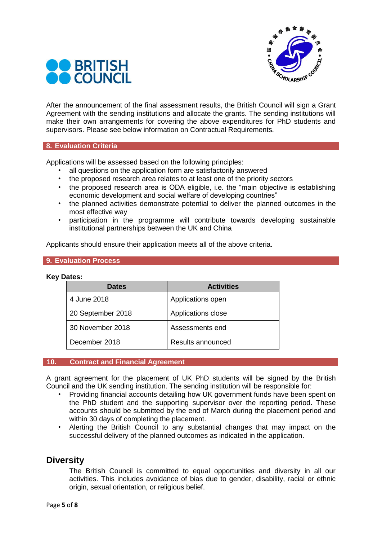



After the announcement of the final assessment results, the British Council will sign a Grant Agreement with the sending institutions and allocate the grants. The sending institutions will make their own arrangements for covering the above expenditures for PhD students and supervisors. Please see below information on Contractual Requirements.

#### **8. Evaluation Criteria**

Applications will be assessed based on the following principles:

- all questions on the application form are satisfactorily answered
- the proposed research area relates to at least one of the priority sectors
- the proposed research area is ODA eligible, i.e. the "main objective is establishing economic development and social welfare of developing countries"
- the planned activities demonstrate potential to deliver the planned outcomes in the most effective way
- participation in the programme will contribute towards developing sustainable institutional partnerships between the UK and China

Applicants should ensure their application meets all of the above criteria.

#### **9. Evaluation Process**

#### **Key Dates:**

| <b>Dates</b>      | <b>Activities</b>  |
|-------------------|--------------------|
| 4 June 2018       | Applications open  |
| 20 September 2018 | Applications close |
| 30 November 2018  | Assessments end    |
| December 2018     | Results announced  |

#### **10. Contract and Financial Agreement**

A grant agreement for the placement of UK PhD students will be signed by the British Council and the UK sending institution. The sending institution will be responsible for:

- Providing financial accounts detailing how UK government funds have been spent on the PhD student and the supporting supervisor over the reporting period. These accounts should be submitted by the end of March during the placement period and within 30 days of completing the placement.
- Alerting the British Council to any substantial changes that may impact on the successful delivery of the planned outcomes as indicated in the application.

## **Diversity**

The British Council is committed to equal opportunities and diversity in all our activities. This includes avoidance of bias due to gender, disability, racial or ethnic origin, sexual orientation, or religious belief.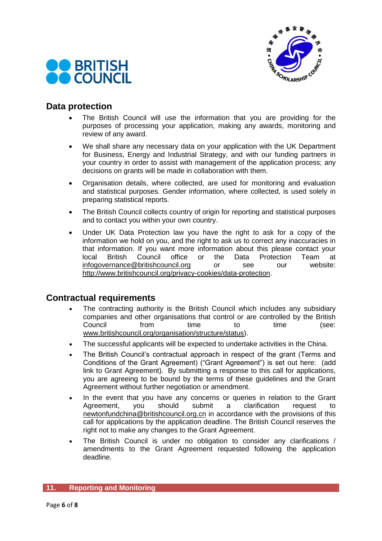



## **Data protection**

- The British Council will use the information that you are providing for the purposes of processing your application, making any awards, monitoring and review of any award.
- We shall share any necessary data on your application with the UK Department for Business, Energy and Industrial Strategy, and with our funding partners in your country in order to assist with management of the application process; any decisions on grants will be made in collaboration with them.
- Organisation details, where collected, are used for monitoring and evaluation and statistical purposes. Gender information, where collected, is used solely in preparing statistical reports.
- The British Council collects country of origin for reporting and statistical purposes and to contact you within your own country.
- Under UK Data Protection law you have the right to ask for a copy of the information we hold on you, and the right to ask us to correct any inaccuracies in that information. If you want more information about this please contact your<br>local British Council office or the Data Protection Team at local British Council office or the Data Protection Team at [infogovernance@britishcouncil.org](mailto:infogovernance@britishcouncil.org) or see our website: [http://www.britishcouncil.org/privacy-cookies/data-protection.](http://www.britishcouncil.org/privacy-cookies/data-protection)

## **Contractual requirements**

- The contracting authority is the British Council which includes any subsidiary companies and other organisations that control or are controlled by the British Council from time to time (see: [www.britishcouncil.org/organisation/structure/status\)](http://www.britishcouncil.org/organisation/structure/status).
- The successful applicants will be expected to undertake activities in the China.
- The British Council's contractual approach in respect of the grant (Terms and Conditions of the Grant Agreement) ("Grant Agreement") is set out here: (add link to Grant Agreement). By submitting a response to this call for applications, you are agreeing to be bound by the terms of these guidelines and the Grant Agreement without further negotiation or amendment.
- In the event that you have any concerns or queries in relation to the Grant Agreement, you should submit a clarification request to [newtonfundchina@britishcouncil.org.cn](mailto:newtonfundchina@britishcouncil.org.cn) in accordance with the provisions of this call for applications by the application deadline. The British Council reserves the right not to make any changes to the Grant Agreement.
- The British Council is under no obligation to consider any clarifications / amendments to the Grant Agreement requested following the application deadline.

### **11. Reporting and Monitoring**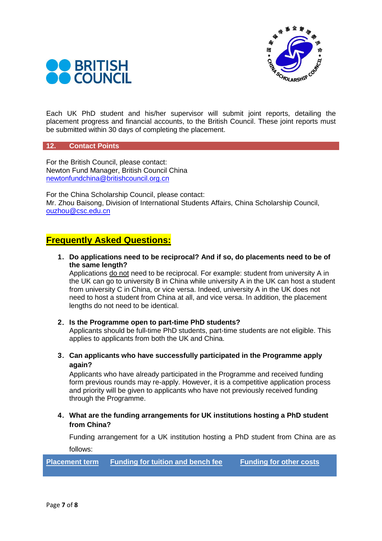



Each UK PhD student and his/her supervisor will submit joint reports, detailing the placement progress and financial accounts, to the British Council. These joint reports must be submitted within 30 days of completing the placement.

#### **12. Contact Points**

For the British Council, please contact: Newton Fund Manager, British Council China [newtonfundchina@britishcouncil.org.cn](mailto:newtonfundchina@britishcouncil.org.cn)

For the China Scholarship Council, please contact: Mr. Zhou Baisong, Division of International Students Affairs, China Scholarship Council, [ouzhou@csc.edu.cn](mailto:ouzhou@csc.edu.cn)

## **Frequently Asked Questions:**

**1**.**Do applications need to be reciprocal? And if so, do placements need to be of the same length?**

Applications do not need to be reciprocal. For example: student from university A in the UK can go to university B in China while university A in the UK can host a student from university C in China, or vice versa. Indeed, university A in the UK does not need to host a student from China at all, and vice versa. In addition, the placement lengths do not need to be identical.

#### **2**.**Is the Programme open to part-time PhD students?**

Applicants should be full-time PhD students, part-time students are not eligible. This applies to applicants from both the UK and China.

**3**.**Can applicants who have successfully participated in the Programme apply again?**

Applicants who have already participated in the Programme and received funding form previous rounds may re-apply. However, it is a competitive application process and priority will be given to applicants who have not previously received funding through the Programme.

**4**.**What are the funding arrangements for UK institutions hosting a PhD student from China?**

Funding arrangement for a UK institution hosting a PhD student from China are as follows:

**Placement term Funding for tuition and bench fee Funding for other costs**